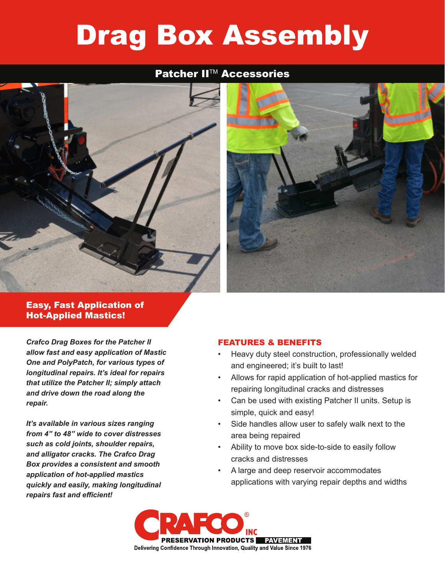# Drag Box Assembly

## **Patcher II™ Accessories**





### Easy, Fast Application of Hot-Applied Mastics!

*Crafco Drag Boxes for the Patcher II allow fast and easy application of Mastic One and PolyPatch, for various types of longitudinal repairs. It's ideal for repairs that utilize the Patcher II; simply attach and drive down the road along the repair.*

*It's available in various sizes ranging from 4" to 48" wide to cover distresses such as cold joints, shoulder repairs, and alligator cracks. The Crafco Drag Box provides a consistent and smooth application of hot-applied mastics quickly and easily, making longitudinal repairs fast and efficient!*

#### FEATURES & BENEFITS

- Heavy duty steel construction, professionally welded and engineered; it's built to last!
- Allows for rapid application of hot-applied mastics for repairing longitudinal cracks and distresses
- Can be used with existing Patcher II units. Setup is simple, quick and easy!
- Side handles allow user to safely walk next to the area being repaired
- Ability to move box side-to-side to easily follow cracks and distresses
- A large and deep reservoir accommodates applications with varying repair depths and widths